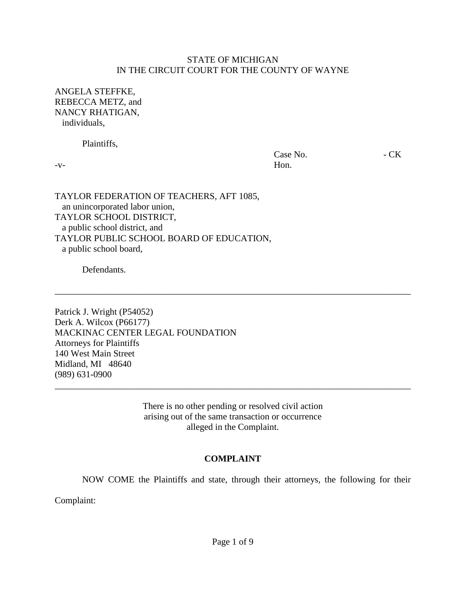#### STATE OF MICHIGAN IN THE CIRCUIT COURT FOR THE COUNTY OF WAYNE

ANGELA STEFFKE, REBECCA METZ, and NANCY RHATIGAN, individuals,

Plaintiffs,

Case No.  $-K$ -v- Hon.

TAYLOR FEDERATION OF TEACHERS, AFT 1085, an unincorporated labor union, TAYLOR SCHOOL DISTRICT, a public school district, and TAYLOR PUBLIC SCHOOL BOARD OF EDUCATION, a public school board,

Defendants.

Patrick J. Wright (P54052) Derk A. Wilcox (P66177) MACKINAC CENTER LEGAL FOUNDATION Attorneys for Plaintiffs 140 West Main Street Midland, MI 48640 (989) 631-0900

> There is no other pending or resolved civil action arising out of the same transaction or occurrence alleged in the Complaint.

\_\_\_\_\_\_\_\_\_\_\_\_\_\_\_\_\_\_\_\_\_\_\_\_\_\_\_\_\_\_\_\_\_\_\_\_\_\_\_\_\_\_\_\_\_\_\_\_\_\_\_\_\_\_\_\_\_\_\_\_\_\_\_\_\_\_\_\_\_\_\_\_\_\_\_\_\_\_

\_\_\_\_\_\_\_\_\_\_\_\_\_\_\_\_\_\_\_\_\_\_\_\_\_\_\_\_\_\_\_\_\_\_\_\_\_\_\_\_\_\_\_\_\_\_\_\_\_\_\_\_\_\_\_\_\_\_\_\_\_\_\_\_\_\_\_\_\_\_\_\_\_\_\_\_\_\_

#### **COMPLAINT**

NOW COME the Plaintiffs and state, through their attorneys, the following for their

Complaint: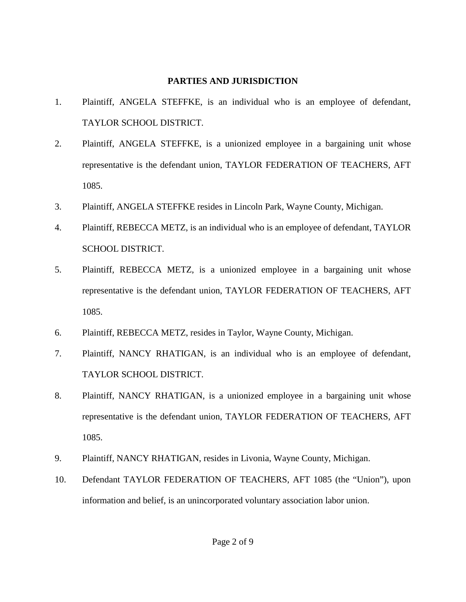#### **PARTIES AND JURISDICTION**

- 1. Plaintiff, ANGELA STEFFKE, is an individual who is an employee of defendant, TAYLOR SCHOOL DISTRICT.
- 2. Plaintiff, ANGELA STEFFKE, is a unionized employee in a bargaining unit whose representative is the defendant union, TAYLOR FEDERATION OF TEACHERS, AFT 1085.
- 3. Plaintiff, ANGELA STEFFKE resides in Lincoln Park, Wayne County, Michigan.
- 4. Plaintiff, REBECCA METZ, is an individual who is an employee of defendant, TAYLOR SCHOOL DISTRICT.
- 5. Plaintiff, REBECCA METZ, is a unionized employee in a bargaining unit whose representative is the defendant union, TAYLOR FEDERATION OF TEACHERS, AFT 1085.
- 6. Plaintiff, REBECCA METZ, resides in Taylor, Wayne County, Michigan.
- 7. Plaintiff, NANCY RHATIGAN, is an individual who is an employee of defendant, TAYLOR SCHOOL DISTRICT.
- 8. Plaintiff, NANCY RHATIGAN, is a unionized employee in a bargaining unit whose representative is the defendant union, TAYLOR FEDERATION OF TEACHERS, AFT 1085.
- 9. Plaintiff, NANCY RHATIGAN, resides in Livonia, Wayne County, Michigan.
- 10. Defendant TAYLOR FEDERATION OF TEACHERS, AFT 1085 (the "Union"), upon information and belief, is an unincorporated voluntary association labor union.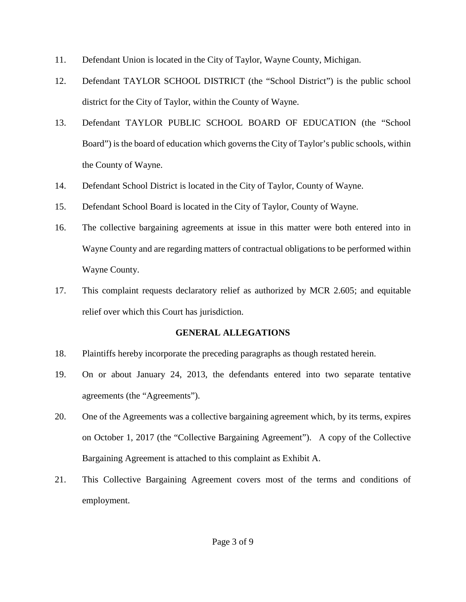- 11. Defendant Union is located in the City of Taylor, Wayne County, Michigan.
- 12. Defendant TAYLOR SCHOOL DISTRICT (the "School District") is the public school district for the City of Taylor, within the County of Wayne.
- 13. Defendant TAYLOR PUBLIC SCHOOL BOARD OF EDUCATION (the "School Board") is the board of education which governs the City of Taylor's public schools, within the County of Wayne.
- 14. Defendant School District is located in the City of Taylor, County of Wayne.
- 15. Defendant School Board is located in the City of Taylor, County of Wayne.
- 16. The collective bargaining agreements at issue in this matter were both entered into in Wayne County and are regarding matters of contractual obligations to be performed within Wayne County.
- 17. This complaint requests declaratory relief as authorized by MCR 2.605; and equitable relief over which this Court has jurisdiction.

# **GENERAL ALLEGATIONS**

- 18. Plaintiffs hereby incorporate the preceding paragraphs as though restated herein.
- 19. On or about January 24, 2013, the defendants entered into two separate tentative agreements (the "Agreements").
- 20. One of the Agreements was a collective bargaining agreement which, by its terms, expires on October 1, 2017 (the "Collective Bargaining Agreement"). A copy of the Collective Bargaining Agreement is attached to this complaint as Exhibit A.
- 21. This Collective Bargaining Agreement covers most of the terms and conditions of employment.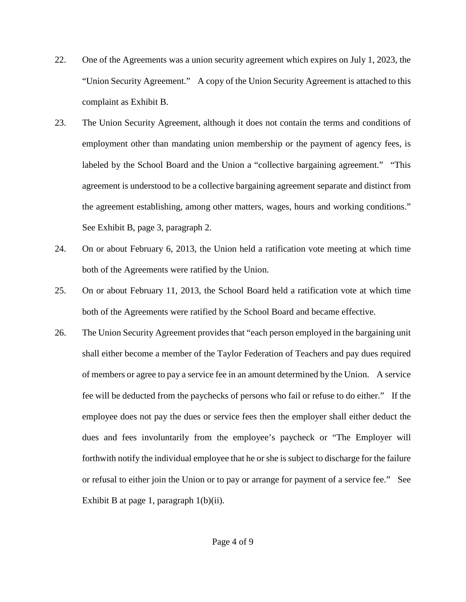- 22. One of the Agreements was a union security agreement which expires on July 1, 2023, the "Union Security Agreement." A copy of the Union Security Agreement is attached to this complaint as Exhibit B.
- 23. The Union Security Agreement, although it does not contain the terms and conditions of employment other than mandating union membership or the payment of agency fees, is labeled by the School Board and the Union a "collective bargaining agreement." "This agreement is understood to be a collective bargaining agreement separate and distinct from the agreement establishing, among other matters, wages, hours and working conditions." See Exhibit B, page 3, paragraph 2.
- 24. On or about February 6, 2013, the Union held a ratification vote meeting at which time both of the Agreements were ratified by the Union.
- 25. On or about February 11, 2013, the School Board held a ratification vote at which time both of the Agreements were ratified by the School Board and became effective.
- 26. The Union Security Agreement provides that "each person employed in the bargaining unit shall either become a member of the Taylor Federation of Teachers and pay dues required of members or agree to pay a service fee in an amount determined by the Union. A service fee will be deducted from the paychecks of persons who fail or refuse to do either." If the employee does not pay the dues or service fees then the employer shall either deduct the dues and fees involuntarily from the employee's paycheck or "The Employer will forthwith notify the individual employee that he or she is subject to discharge for the failure or refusal to either join the Union or to pay or arrange for payment of a service fee." See Exhibit B at page 1, paragraph  $1(b)(ii)$ .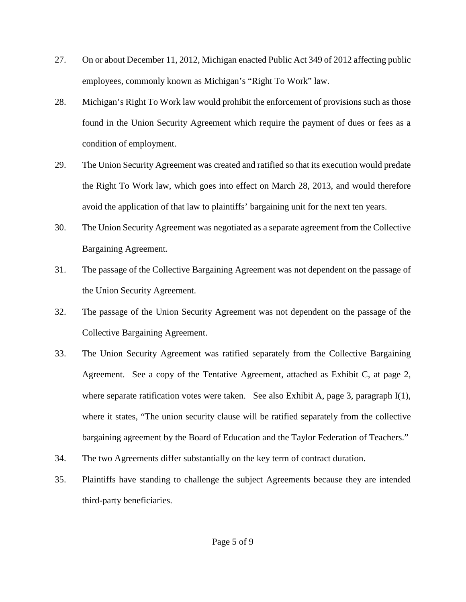- 27. On or about December 11, 2012, Michigan enacted Public Act 349 of 2012 affecting public employees, commonly known as Michigan's "Right To Work" law.
- 28. Michigan's Right To Work law would prohibit the enforcement of provisions such as those found in the Union Security Agreement which require the payment of dues or fees as a condition of employment.
- 29. The Union Security Agreement was created and ratified so that its execution would predate the Right To Work law, which goes into effect on March 28, 2013, and would therefore avoid the application of that law to plaintiffs' bargaining unit for the next ten years.
- 30. The Union Security Agreement was negotiated as a separate agreement from the Collective Bargaining Agreement.
- 31. The passage of the Collective Bargaining Agreement was not dependent on the passage of the Union Security Agreement.
- 32. The passage of the Union Security Agreement was not dependent on the passage of the Collective Bargaining Agreement.
- 33. The Union Security Agreement was ratified separately from the Collective Bargaining Agreement. See a copy of the Tentative Agreement, attached as Exhibit C, at page 2, where separate ratification votes were taken. See also Exhibit A, page 3, paragraph  $I(1)$ , where it states, "The union security clause will be ratified separately from the collective bargaining agreement by the Board of Education and the Taylor Federation of Teachers."
- 34. The two Agreements differ substantially on the key term of contract duration.
- 35. Plaintiffs have standing to challenge the subject Agreements because they are intended third-party beneficiaries.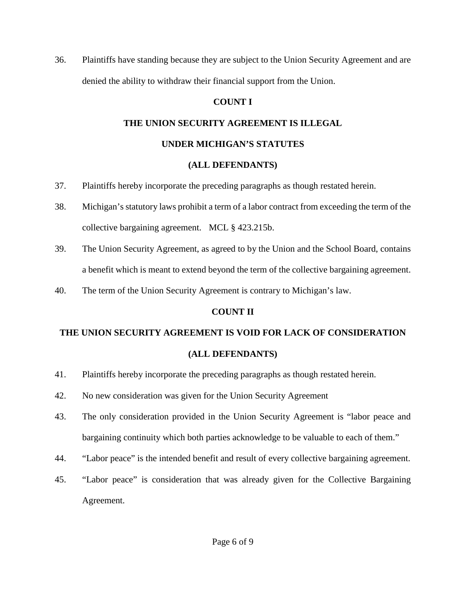36. Plaintiffs have standing because they are subject to the Union Security Agreement and are denied the ability to withdraw their financial support from the Union.

# **COUNT I**

# **THE UNION SECURITY AGREEMENT IS ILLEGAL**

#### **UNDER MICHIGAN'S STATUTES**

# **(ALL DEFENDANTS)**

- 37. Plaintiffs hereby incorporate the preceding paragraphs as though restated herein.
- 38. Michigan's statutory laws prohibit a term of a labor contract from exceeding the term of the collective bargaining agreement. MCL § 423.215b.
- 39. The Union Security Agreement, as agreed to by the Union and the School Board, contains a benefit which is meant to extend beyond the term of the collective bargaining agreement.
- 40. The term of the Union Security Agreement is contrary to Michigan's law.

# **COUNT II**

# **THE UNION SECURITY AGREEMENT IS VOID FOR LACK OF CONSIDERATION (ALL DEFENDANTS)**

- 41. Plaintiffs hereby incorporate the preceding paragraphs as though restated herein.
- 42. No new consideration was given for the Union Security Agreement
- 43. The only consideration provided in the Union Security Agreement is "labor peace and bargaining continuity which both parties acknowledge to be valuable to each of them."
- 44. "Labor peace" is the intended benefit and result of every collective bargaining agreement.
- 45. "Labor peace" is consideration that was already given for the Collective Bargaining Agreement.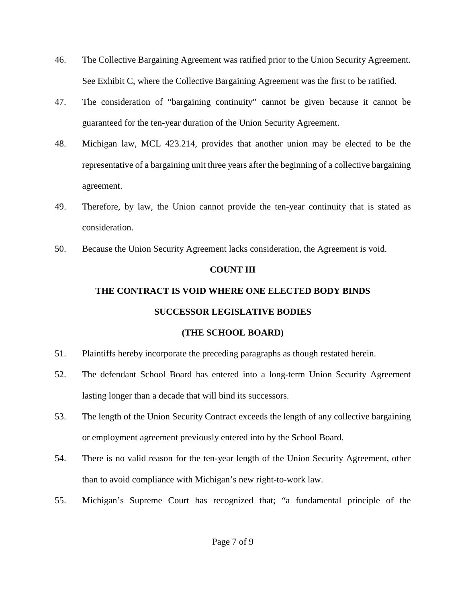- 46. The Collective Bargaining Agreement was ratified prior to the Union Security Agreement. See Exhibit C, where the Collective Bargaining Agreement was the first to be ratified.
- 47. The consideration of "bargaining continuity" cannot be given because it cannot be guaranteed for the ten-year duration of the Union Security Agreement.
- 48. Michigan law, MCL 423.214, provides that another union may be elected to be the representative of a bargaining unit three years after the beginning of a collective bargaining agreement.
- 49. Therefore, by law, the Union cannot provide the ten-year continuity that is stated as consideration.
- 50. Because the Union Security Agreement lacks consideration, the Agreement is void.

#### **COUNT III**

# **THE CONTRACT IS VOID WHERE ONE ELECTED BODY BINDS SUCCESSOR LEGISLATIVE BODIES**

# **(THE SCHOOL BOARD)**

- 51. Plaintiffs hereby incorporate the preceding paragraphs as though restated herein.
- 52. The defendant School Board has entered into a long-term Union Security Agreement lasting longer than a decade that will bind its successors.
- 53. The length of the Union Security Contract exceeds the length of any collective bargaining or employment agreement previously entered into by the School Board.
- 54. There is no valid reason for the ten-year length of the Union Security Agreement, other than to avoid compliance with Michigan's new right-to-work law.
- 55. Michigan's Supreme Court has recognized that; "a fundamental principle of the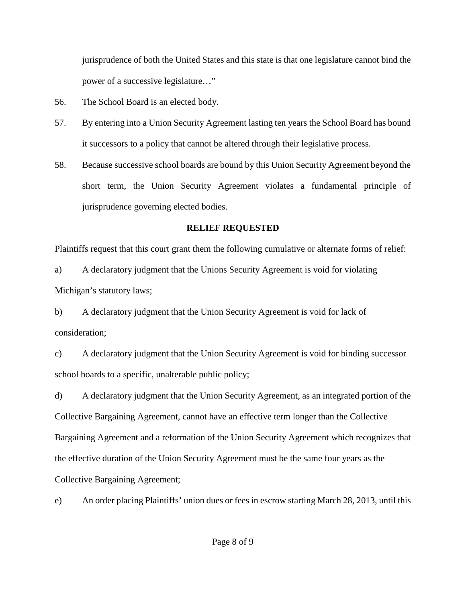jurisprudence of both the United States and this state is that one legislature cannot bind the power of a successive legislature…"

- 56. The School Board is an elected body.
- 57. By entering into a Union Security Agreement lasting ten years the School Board has bound it successors to a policy that cannot be altered through their legislative process.
- 58. Because successive school boards are bound by this Union Security Agreement beyond the short term, the Union Security Agreement violates a fundamental principle of jurisprudence governing elected bodies.

#### **RELIEF REQUESTED**

Plaintiffs request that this court grant them the following cumulative or alternate forms of relief:

a) A declaratory judgment that the Unions Security Agreement is void for violating Michigan's statutory laws;

b) A declaratory judgment that the Union Security Agreement is void for lack of consideration;

c) A declaratory judgment that the Union Security Agreement is void for binding successor school boards to a specific, unalterable public policy;

d) A declaratory judgment that the Union Security Agreement, as an integrated portion of the Collective Bargaining Agreement, cannot have an effective term longer than the Collective Bargaining Agreement and a reformation of the Union Security Agreement which recognizes that the effective duration of the Union Security Agreement must be the same four years as the Collective Bargaining Agreement;

e) An order placing Plaintiffs' union dues or fees in escrow starting March 28, 2013, until this